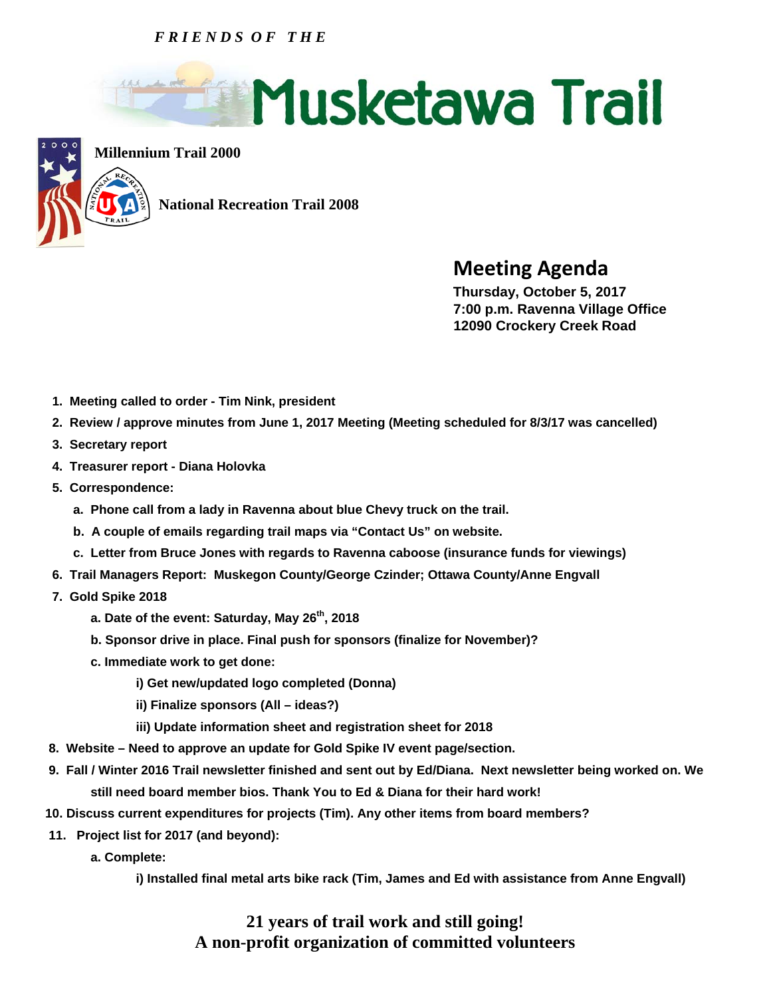## *F R I E N D S O F T H E*





**Millennium Trail 2000**

 **National Recreation Trail 2008** 

## **Meeting Agenda**<br> **Thursday, October 5, 2017**

 **7:00 p.m. Ravenna Village Office 12090 Crockery Creek Road** 

- **1. Meeting called to order Tim Nink, president**
- **2. Review / approve minutes from June 1, 2017 Meeting (Meeting scheduled for 8/3/17 was cancelled)**
- **3. Secretary report**
- **4. Treasurer report Diana Holovka**
- **5. Correspondence:** 
	- **a. Phone call from a lady in Ravenna about blue Chevy truck on the trail.**
	- **b. A couple of emails regarding trail maps via "Contact Us" on website.**
	- **c. Letter from Bruce Jones with regards to Ravenna caboose (insurance funds for viewings)**
- **6. Trail Managers Report: Muskegon County/George Czinder; Ottawa County/Anne Engvall**
- **7. Gold Spike 2018** 
	- **a. Date of the event: Saturday, May 26th, 2018**
	- **b. Sponsor drive in place. Final push for sponsors (finalize for November)?**
	- **c. Immediate work to get done:** 
		- **i) Get new/updated logo completed (Donna)**
		- **ii) Finalize sponsors (All ideas?)**
		- **iii) Update information sheet and registration sheet for 2018**
- **8. Website Need to approve an update for Gold Spike IV event page/section.**
- **9. Fall / Winter 2016 Trail newsletter finished and sent out by Ed/Diana. Next newsletter being worked on. We still need board member bios. Thank You to Ed & Diana for their hard work!**
- **10. Discuss current expenditures for projects (Tim). Any other items from board members?**
- **11. Project list for 2017 (and beyond):** 
	- **a. Complete:**

 **i) Installed final metal arts bike rack (Tim, James and Ed with assistance from Anne Engvall)** 

## **21 years of trail work and still going! A non-profit organization of committed volunteers**